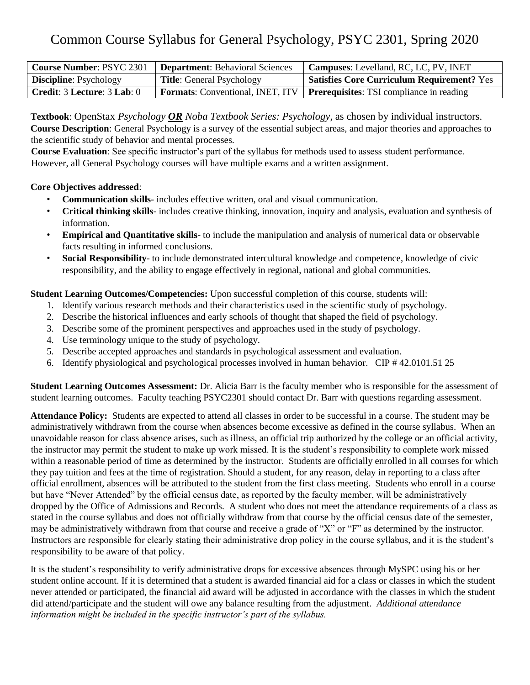# Common Course Syllabus for General Psychology, PSYC 2301, Spring 2020

| <b>Course Number: PSYC 2301</b> | <b>Department:</b> Behavioral Sciences | Campuses: Levelland, RC, LC, PV, INET                                       |
|---------------------------------|----------------------------------------|-----------------------------------------------------------------------------|
| <b>Discipline:</b> Psychology   | <b>Title:</b> General Psychology       | <b>Satisfies Core Curriculum Requirement? Yes</b>                           |
| Credit: 3 Lecture: 3 Lab: 0     |                                        | Formats: Conventional, INET, ITV   Prerequisites: TSI compliance in reading |

**Textbook**: OpenStax *Psychology OR Noba Textbook Series: Psychology,* as chosen by individual instructors. **Course Description**: General Psychology is a survey of the essential subject areas, and major theories and approaches to the scientific study of behavior and mental processes.

**Course Evaluation**: See specific instructor's part of the syllabus for methods used to assess student performance. However, all General Psychology courses will have multiple exams and a written assignment.

#### **Core Objectives addressed**:

- **Communication skills** includes effective written, oral and visual communication.
- **Critical thinking skills** includes creative thinking, innovation, inquiry and analysis, evaluation and synthesis of information.
- **Empirical and Quantitative skills** to include the manipulation and analysis of numerical data or observable facts resulting in informed conclusions.
- **Social Responsibility** to include demonstrated intercultural knowledge and competence, knowledge of civic responsibility, and the ability to engage effectively in regional, national and global communities.

**Student Learning Outcomes/Competencies:** Upon successful completion of this course, students will:

- 1. Identify various research methods and their characteristics used in the scientific study of psychology.
- 2. Describe the historical influences and early schools of thought that shaped the field of psychology.
- 3. Describe some of the prominent perspectives and approaches used in the study of psychology.
- 4. Use terminology unique to the study of psychology.
- 5. Describe accepted approaches and standards in psychological assessment and evaluation.
- 6. Identify physiological and psychological processes involved in human behavior. CIP # 42.0101.51 25

**Student Learning Outcomes Assessment:** Dr. Alicia Barr is the faculty member who is responsible for the assessment of student learning outcomes. Faculty teaching PSYC2301 should contact Dr. Barr with questions regarding assessment.

**Attendance Policy:** Students are expected to attend all classes in order to be successful in a course. The student may be administratively withdrawn from the course when absences become excessive as defined in the course syllabus. When an unavoidable reason for class absence arises, such as illness, an official trip authorized by the college or an official activity, the instructor may permit the student to make up work missed. It is the student's responsibility to complete work missed within a reasonable period of time as determined by the instructor. Students are officially enrolled in all courses for which they pay tuition and fees at the time of registration. Should a student, for any reason, delay in reporting to a class after official enrollment, absences will be attributed to the student from the first class meeting. Students who enroll in a course but have "Never Attended" by the official census date, as reported by the faculty member, will be administratively dropped by the Office of Admissions and Records. A student who does not meet the attendance requirements of a class as stated in the course syllabus and does not officially withdraw from that course by the official census date of the semester, may be administratively withdrawn from that course and receive a grade of "X" or "F" as determined by the instructor. Instructors are responsible for clearly stating their administrative drop policy in the course syllabus, and it is the student's responsibility to be aware of that policy.

It is the student's responsibility to verify administrative drops for excessive absences through MySPC using his or her student online account. If it is determined that a student is awarded financial aid for a class or classes in which the student never attended or participated, the financial aid award will be adjusted in accordance with the classes in which the student did attend/participate and the student will owe any balance resulting from the adjustment. *Additional attendance information might be included in the specific instructor's part of the syllabus.*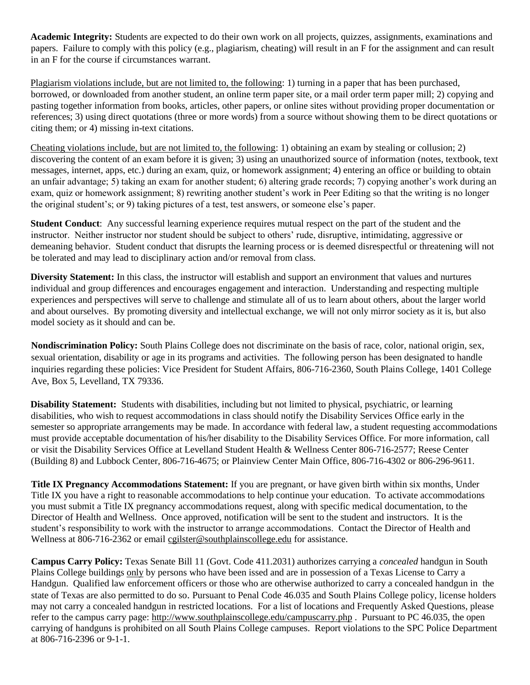**Academic Integrity:** Students are expected to do their own work on all projects, quizzes, assignments, examinations and papers. Failure to comply with this policy (e.g., plagiarism, cheating) will result in an F for the assignment and can result in an F for the course if circumstances warrant.

Plagiarism violations include, but are not limited to, the following: 1) turning in a paper that has been purchased, borrowed, or downloaded from another student, an online term paper site, or a mail order term paper mill; 2) copying and pasting together information from books, articles, other papers, or online sites without providing proper documentation or references; 3) using direct quotations (three or more words) from a source without showing them to be direct quotations or citing them; or 4) missing in-text citations.

Cheating violations include, but are not limited to, the following: 1) obtaining an exam by stealing or collusion; 2) discovering the content of an exam before it is given; 3) using an unauthorized source of information (notes, textbook, text messages, internet, apps, etc.) during an exam, quiz, or homework assignment; 4) entering an office or building to obtain an unfair advantage; 5) taking an exam for another student; 6) altering grade records; 7) copying another's work during an exam, quiz or homework assignment; 8) rewriting another student's work in Peer Editing so that the writing is no longer the original student's; or 9) taking pictures of a test, test answers, or someone else's paper.

**Student Conduct**: Any successful learning experience requires mutual respect on the part of the student and the instructor. Neither instructor nor student should be subject to others' rude, disruptive, intimidating, aggressive or demeaning behavior. Student conduct that disrupts the learning process or is deemed disrespectful or threatening will not be tolerated and may lead to disciplinary action and/or removal from class.

**Diversity Statement:** In this class, the instructor will establish and support an environment that values and nurtures individual and group differences and encourages engagement and interaction. Understanding and respecting multiple experiences and perspectives will serve to challenge and stimulate all of us to learn about others, about the larger world and about ourselves. By promoting diversity and intellectual exchange, we will not only mirror society as it is, but also model society as it should and can be.

**Nondiscrimination Policy:** South Plains College does not discriminate on the basis of race, color, national origin, sex, sexual orientation, disability or age in its programs and activities. The following person has been designated to handle inquiries regarding these policies: Vice President for Student Affairs, 806-716-2360, South Plains College, 1401 College Ave, Box 5, Levelland, TX 79336.

**Disability Statement:** Students with disabilities, including but not limited to physical, psychiatric, or learning disabilities, who wish to request accommodations in class should notify the Disability Services Office early in the semester so appropriate arrangements may be made. In accordance with federal law, a student requesting accommodations must provide acceptable documentation of his/her disability to the Disability Services Office. For more information, call or visit the Disability Services Office at Levelland Student Health & Wellness Center 806-716-2577; Reese Center (Building 8) and Lubbock Center, 806-716-4675; or Plainview Center Main Office, 806-716-4302 or 806-296-9611.

**Title IX Pregnancy Accommodations Statement:** If you are pregnant, or have given birth within six months, Under Title IX you have a right to reasonable accommodations to help continue your education. To activate accommodations you must submit a Title IX pregnancy accommodations request, along with specific medical documentation, to the Director of Health and Wellness. Once approved, notification will be sent to the student and instructors. It is the student's responsibility to work with the instructor to arrange accommodations. Contact the Director of Health and Wellness at 806-716-2362 or email [cgilster@southplainscollege.edu](mailto:cstraface@southplainscollege.edu) for assistance.

**Campus Carry Policy:** Texas Senate Bill 11 (Govt. Code 411.2031) authorizes carrying a *concealed* handgun in South Plains College buildings only by persons who have been issed and are in possession of a Texas License to Carry a Handgun. Qualified law enforcement officers or those who are otherwise authorized to carry a concealed handgun in the state of Texas are also permitted to do so. Pursuant to Penal Code 46.035 and South Plains College policy, license holders may not carry a concealed handgun in restricted locations. For a list of locations and Frequently Asked Questions, please refer to the campus carry page:<http://www.southplainscollege.edu/campuscarry.php> . Pursuant to PC 46.035, the open carrying of handguns is prohibited on all South Plains College campuses. Report violations to the SPC Police Department at 806-716-2396 or 9-1-1.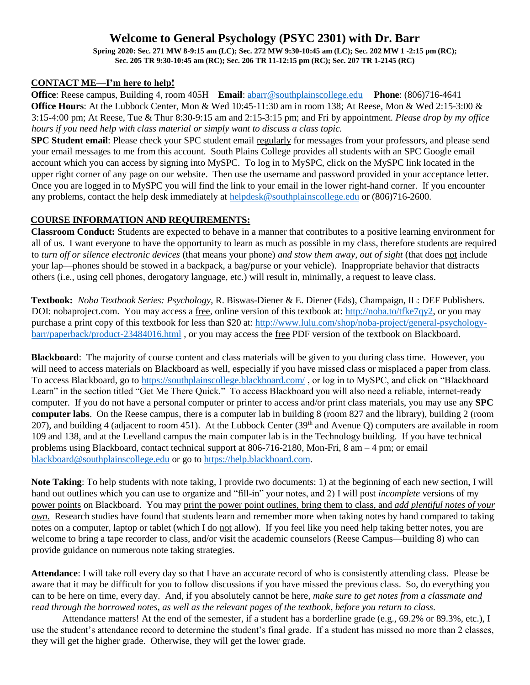## **Welcome to General Psychology (PSYC 2301) with Dr. Barr**

**Spring 2020: Sec. 271 MW 8-9:15 am (LC); Sec. 272 MW 9:30-10:45 am (LC); Sec. 202 MW 1 -2:15 pm (RC); Sec. 205 TR 9:30-10:45 am (RC); Sec. 206 TR 11-12:15 pm (RC); Sec. 207 TR 1-2145 (RC)**

### **CONTACT ME—I'm here to help!**

**Office**: Reese campus, Building 4, room 405H **Email**: [abarr@southplainscollege.edu](mailto:abarr@southplainscollege.edu) **Phone**: (806)716-4641 **Office Hours**: At the Lubbock Center, Mon & Wed 10:45-11:30 am in room 138; At Reese, Mon & Wed 2:15-3:00 & 3:15-4:00 pm; At Reese, Tue & Thur 8:30-9:15 am and 2:15-3:15 pm; and Fri by appointment. *Please drop by my office hours if you need help with class material or simply want to discuss a class topic.*

**SPC Student email**: Please check your SPC student email regularly for messages from your professors, and please send your email messages to me from this account. South Plains College provides all students with an SPC Google email account which you can access by signing into MySPC. To log in to MySPC, click on the MySPC link located in the upper right corner of any page on our website. Then use the username and password provided in your acceptance letter. Once you are logged in to MySPC you will find the link to your email in the lower right-hand corner. If you encounter any problems, contact the help desk immediately at [helpdesk@southplainscollege.edu](mailto:helpdesk@southplainscollege.edu) or (806)716-2600.

#### **COURSE INFORMATION AND REQUIREMENTS:**

**Classroom Conduct:** Students are expected to behave in a manner that contributes to a positive learning environment for all of us. I want everyone to have the opportunity to learn as much as possible in my class, therefore students are required to *turn off or silence electronic devices* (that means your phone) *and stow them away, out of sight* (that does not include your lap—phones should be stowed in a backpack, a bag/purse or your vehicle). Inappropriate behavior that distracts others (i.e., using cell phones, derogatory language, etc.) will result in, minimally, a request to leave class.

**Textbook:** *Noba Textbook Series: Psychology*, R. Biswas-Diener & E. Diener (Eds), Champaign, IL: DEF Publishers. DOI: nobaproject.com. You may access a free, online version of this textbook at: [http://noba.to/tfke7qy2,](http://noba.to/tfke7qy2) or you may purchase a print copy of this textbook for less than \$20 at: [http://www.lulu.com/shop/noba-project/general-psychology](http://www.lulu.com/shop/noba-project/general-psychology-barr/paperback/product-23484016.html)[barr/paperback/product-23484016.html](http://www.lulu.com/shop/noba-project/general-psychology-barr/paperback/product-23484016.html) , or you may access the free PDF version of the textbook on Blackboard.

**Blackboard**: The majority of course content and class materials will be given to you during class time. However, you will need to access materials on Blackboard as well, especially if you have missed class or misplaced a paper from class. To access Blackboard, go to<https://southplainscollege.blackboard.com/> , or log in to MySPC, and click on "Blackboard Learn" in the section titled "Get Me There Quick." To access Blackboard you will also need a reliable, internet-ready computer. If you do not have a personal computer or printer to access and/or print class materials, you may use any **SPC computer labs**. On the Reese campus, there is a computer lab in building 8 (room 827 and the library), building 2 (room 207), and building 4 (adjacent to room 451). At the Lubbock Center ( $39<sup>th</sup>$  and Avenue O) computers are available in room 109 and 138, and at the Levelland campus the main computer lab is in the Technology building. If you have technical problems using Blackboard, contact technical support at 806-716-2180, Mon-Fri, 8 am – 4 pm; or email [blackboard@southplainscollege.edu](mailto:blackboard@southplainscollege.edu) or go t[o https://help.blackboard.com.](https://help.blackboard.com/)

**Note Taking**: To help students with note taking, I provide two documents: 1) at the beginning of each new section, I will hand out outlines which you can use to organize and "fill-in" your notes, and 2) I will post *incomplete* versions of my power points on Blackboard. You may print the power point outlines, bring them to class, and *add plentiful notes of your own*. Research studies have found that students learn and remember more when taking notes by hand compared to taking notes on a computer, laptop or tablet (which I do not allow). If you feel like you need help taking better notes, you are welcome to bring a tape recorder to class, and/or visit the academic counselors (Reese Campus—building 8) who can provide guidance on numerous note taking strategies.

**Attendance**: I will take roll every day so that I have an accurate record of who is consistently attending class. Please be aware that it may be difficult for you to follow discussions if you have missed the previous class. So, do everything you can to be here on time, every day. And, if you absolutely cannot be here, *make sure to get notes from a classmate and read through the borrowed notes*, *as well as the relevant pages of the textbook*, *before you return to class*.

Attendance matters! At the end of the semester, if a student has a borderline grade (e.g., 69.2% or 89.3%, etc.), I use the student's attendance record to determine the student's final grade. If a student has missed no more than 2 classes, they will get the higher grade. Otherwise, they will get the lower grade.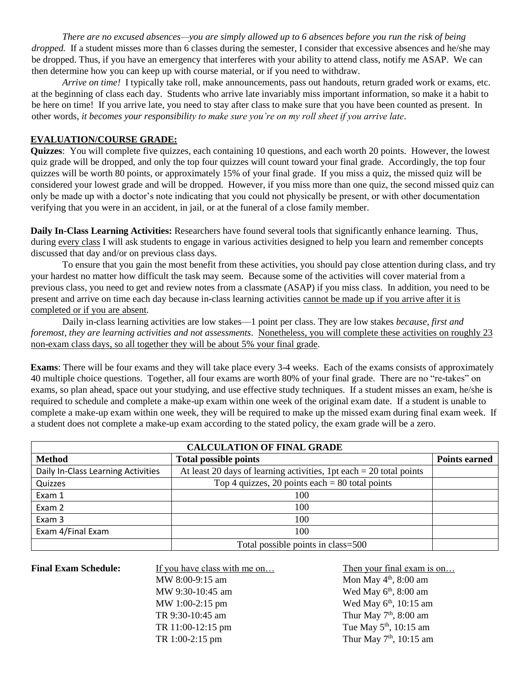*There are no excused absences—you are simply allowed up to 6 absences before you run the risk of being dropped.* If a student misses more than 6 classes during the semester, I consider that excessive absences and he/she may be dropped. Thus, if you have an emergency that interferes with your ability to attend class, notify me ASAP. We can then determine how you can keep up with course material, or if you need to withdraw.

*Arrive on time!* I typically take roll, make announcements, pass out handouts, return graded work or exams, etc. at the beginning of class each day. Students who arrive late invariably miss important information, so make it a habit to be here on time! If you arrive late, you need to stay after class to make sure that you have been counted as present. In other words, *it becomes your responsibility to make sure you're on my roll sheet if you arrive late*.

#### **EVALUATION/COURSE GRADE:**

**Quizzes**: You will complete five quizzes, each containing 10 questions, and each worth 20 points. However, the lowest quiz grade will be dropped, and only the top four quizzes will count toward your final grade. Accordingly, the top four quizzes will be worth 80 points, or approximately 15% of your final grade. If you miss a quiz, the missed quiz will be considered your lowest grade and will be dropped. However, if you miss more than one quiz, the second missed quiz can only be made up with a doctor's note indicating that you could not physically be present, or with other documentation verifying that you were in an accident, in jail, or at the funeral of a close family member.

**Daily In-Class Learning Activities:** Researchers have found several tools that significantly enhance learning. Thus, during every class I will ask students to engage in various activities designed to help you learn and remember concepts discussed that day and/or on previous class days*.*

To ensure that you gain the most benefit from these activities, you should pay close attention during class, and try your hardest no matter how difficult the task may seem. Because some of the activities will cover material from a previous class, you need to get and review notes from a classmate (ASAP) if you miss class. In addition, you need to be present and arrive on time each day because in-class learning activities cannot be made up if you arrive after it is completed or if you are absent.

Daily in-class learning activities are low stakes—1 point per class. They are low stakes *because, first and foremost, they are learning activities and not assessments*. Nonetheless, you will complete these activities on roughly 23 non-exam class days, so all together they will be about 5% your final grade.

**Exams**: There will be four exams and they will take place every 3-4 weeks. Each of the exams consists of approximately 40 multiple choice questions. Together, all four exams are worth 80% of your final grade. There are no "re-takes" on exams, so plan ahead, space out your studying, and use effective study techniques. If a student misses an exam, he/she is required to schedule and complete a make-up exam within one week of the original exam date.If a student is unable to complete a make-up exam within one week, they will be required to make up the missed exam during final exam week. If a student does not complete a make-up exam according to the stated policy, the exam grade will be a zero.

| <b>CALCULATION OF FINAL GRADE</b>  |                                                                       |                      |  |  |
|------------------------------------|-----------------------------------------------------------------------|----------------------|--|--|
| <b>Method</b>                      | <b>Total possible points</b>                                          | <b>Points earned</b> |  |  |
| Daily In-Class Learning Activities | At least 20 days of learning activities, 1pt each $= 20$ total points |                      |  |  |
| Quizzes                            | Top 4 quizzes, 20 points each $= 80$ total points                     |                      |  |  |
| Exam 1                             | 100                                                                   |                      |  |  |
| Exam 2                             | 100                                                                   |                      |  |  |
| Exam 3                             | 100                                                                   |                      |  |  |
| Exam 4/Final Exam                  | 100                                                                   |                      |  |  |
|                                    | Total possible points in class=500                                    |                      |  |  |

**Final Exam Schedule:** If you have class with me on… Then your final exam is on…

MW 8:00-9:15 am Mon May 4<sup>th</sup>, 8:00 am MW 9:30-10:45 am Wed May 6<sup>th</sup>, 8:00 am MW 1:00-2:15 pm Wed May 6<sup>th</sup>, 10:15 am

TR 9:30-10:45 am Thur May 7<sup>th</sup>, 8:00 am TR 11:00-12:15 pm Tue May 5<sup>th</sup>, 10:15 am TR 1:00-2:15 pm Thur May  $7<sup>th</sup>$ , 10:15 am